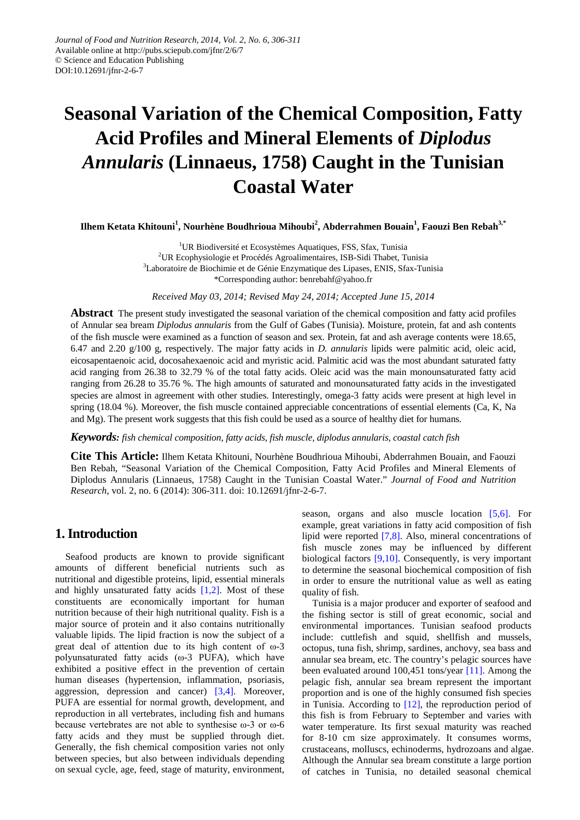# **Seasonal Variation of the Chemical Composition, Fatty Acid Profiles and Mineral Elements of** *Diplodus Annularis* **(Linnaeus, 1758) Caught in the Tunisian Coastal Water**

**Ilhem Ketata Khitouni<sup>1</sup> , Nourhène Boudhrioua Mihoubi<sup>2</sup> , Abderrahmen Bouain1 , Faouzi Ben Rebah3,\***

<sup>1</sup>UR Biodiversité et Ecosystèmes Aquatiques, FSS, Sfax, Tunisia <sup>2</sup>UR Ecophysiologie et Procédés Agroalimentaires, ISB-Sidi Thabet, Tunisia <sup>3</sup>Laboratoire de Biochimie et de Génie Enzymatique des Lipases, ENIS, Sfax-Tunisia \*Corresponding author: benrebahf@yahoo.fr

*Received May 03, 2014; Revised May 24, 2014; Accepted June 15, 2014*

**Abstract** The present study investigated the seasonal variation of the chemical composition and fatty acid profiles of Annular sea bream *Diplodus annularis* from the Gulf of Gabes (Tunisia). Moisture, protein, fat and ash contents of the fish muscle were examined as a function of season and sex. Protein, fat and ash average contents were 18.65, 6.47 and 2.20 g/100 g, respectively. The major fatty acids in *D. annularis* lipids were palmitic acid, oleic acid, eicosapentaenoic acid, docosahexaenoic acid and myristic acid. Palmitic acid was the most abundant saturated fatty acid ranging from 26.38 to 32.79 % of the total fatty acids. Oleic acid was the main monounsaturated fatty acid ranging from 26.28 to 35.76 %. The high amounts of saturated and monounsaturated fatty acids in the investigated species are almost in agreement with other studies. Interestingly, omega-3 fatty acids were present at high level in spring (18.04 %). Moreover, the fish muscle contained appreciable concentrations of essential elements (Ca, K, Na and Mg). The present work suggests that this fish could be used as a source of healthy diet for humans.

*Keywords: fish chemical composition, fatty acids, fish muscle, diplodus annularis, coastal catch fish*

**Cite This Article:** Ilhem Ketata Khitouni, Nourhène Boudhrioua Mihoubi, Abderrahmen Bouain, and Faouzi Ben Rebah, "Seasonal Variation of the Chemical Composition, Fatty Acid Profiles and Mineral Elements of Diplodus Annularis (Linnaeus, 1758) Caught in the Tunisian Coastal Water." *Journal of Food and Nutrition Research*, vol. 2, no. 6 (2014): 306-311. doi: 10.12691/jfnr-2-6-7.

## **1.Introduction**

Seafood products are known to provide significant amounts of different beneficial nutrients such as nutritional and digestible proteins, lipid, essential minerals and highly unsaturated fatty acids  $[1,2]$ . Most of these constituents are economically important for human nutrition because of their high nutritional quality. Fish is a major source of protein and it also contains nutritionally valuable lipids. The lipid fraction is now the subject of a great deal of attention due to its high content of ω-3 polyunsaturated fatty acids (ω-3 PUFA), which have exhibited a positive effect in the prevention of certain human diseases (hypertension, inflammation, psoriasis, aggression, depression and cancer) [\[3,4\].](#page-4-1) Moreover, PUFA are essential for normal growth, development, and reproduction in all vertebrates, including fish and humans because vertebrates are not able to synthesise ω-3 or ω-6 fatty acids and they must be supplied through diet. Generally, the fish chemical composition varies not only between species, but also between individuals depending on sexual cycle, age, feed, stage of maturity, environment,

season, organs and also muscle location [\[5,6\].](#page-5-0) For example, great variations in fatty acid composition of fish lipid were reported [\[7,8\].](#page-5-1) Also, mineral concentrations of fish muscle zones may be influenced by different biological factors [\[9,10\].](#page-5-2) Consequently, is very important to determine the seasonal biochemical composition of fish in order to ensure the nutritional value as well as eating quality of fish.

Tunisia is a major producer and exporter of seafood and the fishing sector is still of great economic, social and environmental importances. Tunisian seafood products include: cuttlefish and squid, shellfish and mussels, octopus, tuna fish, shrimp, sardines, anchovy, sea bass and annular sea bream, etc. The country's pelagic sources have been evaluated around 100,451 tons/year [\[11\].](#page-5-3) Among the pelagic fish, annular sea bream represent the important proportion and is one of the highly consumed fish species in Tunisia. According to  $[12]$ , the reproduction period of this fish is from February to September and varies with water temperature. Its first sexual maturity was reached for 8-10 cm size approximately. It consumes worms, crustaceans, molluscs, echinoderms, hydrozoans and algae. Although the Annular sea bream constitute a large portion of catches in Tunisia, no detailed seasonal chemical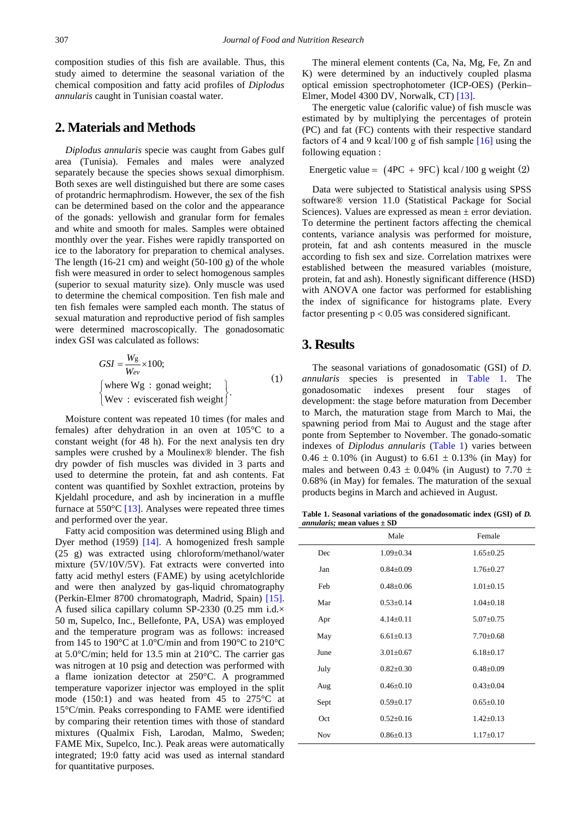composition studies of this fish are available. Thus, this study aimed to determine the seasonal variation of the chemical composition and fatty acid profiles of *Diplodus annularis* caught in Tunisian coastal water.

## **2. Materials and Methods**

*Diplodus annularis* specie was caught from Gabes gulf area (Tunisia). Females and males were analyzed separately because the species shows sexual dimorphism. Both sexes are well distinguished but there are some cases of protandric hermaphrodism. However, the sex of the fish can be determined based on the color and the appearance of the gonads: yellowish and granular form for females and white and smooth for males. Samples were obtained monthly over the year. Fishes were rapidly transported on ice to the laboratory for preparation to chemical analyses. The length  $(16-21 \text{ cm})$  and weight  $(50-100 \text{ g})$  of the whole fish were measured in order to select homogenous samples (superior to sexual maturity size). Only muscle was used to determine the chemical composition. Ten fish male and ten fish females were sampled each month. The status of sexual maturation and reproductive period of fish samples were determined macroscopically. The gonadosomatic index GSI was calculated as follows:

$$
GSI = \frac{W_g}{W_{ev}} \times 100;
$$
  
\n[where Wg : gonad weight;  
\n[Wev : eviscerated fish weight] (1)

Moisture content was repeated 10 times (for males and females) after dehydration in an oven at 105°C to a constant weight (for 48 h). For the next analysis ten dry samples were crushed by a Moulinex® blender. The fish dry powder of fish muscles was divided in 3 parts and used to determine the protein, fat and ash contents. Fat content was quantified by Soxhlet extraction, proteins by Kjeldahl procedure, and ash by incineration in a muffle furnace at  $550^{\circ}$ C [\[13\].](#page-5-5) Analyses were repeated three times and performed over the year.

Fatty acid composition was determined using Bligh and Dyer method (1959) [\[14\].](#page-5-6) A homogenized fresh sample (25 g) was extracted using chloroform/methanol/water mixture (5V/10V/5V). Fat extracts were converted into fatty acid methyl esters (FAME) by using acetylchloride and were then analyzed by gas-liquid chromatography (Perkin-Elmer 8700 chromatograph, Madrid, Spain) [\[15\].](#page-5-7) A fused silica capillary column SP-2330 (0.25 mm i.d.× 50 m, Supelco, Inc., Bellefonte, PA, USA) was employed and the temperature program was as follows: increased from 145 to 190°C at 1.0°C/min and from 190°C to 210°C at 5.0°C/min; held for 13.5 min at 210°C. The carrier gas was nitrogen at 10 psig and detection was performed with a flame ionization detector at 250°C. A programmed temperature vaporizer injector was employed in the split mode (150:1) and was heated from 45 to  $275^{\circ}$ C at 15°C/min. Peaks corresponding to FAME were identified by comparing their retention times with those of standard mixtures (Qualmix Fish, Larodan, Malmo, Sweden; FAME Mix, Supelco, Inc.). Peak areas were automatically integrated; 19:0 fatty acid was used as internal standard for quantitative purposes.

The mineral element contents (Ca, Na, Mg, Fe, Zn and K) were determined by an inductively coupled plasma optical emission spectrophotometer (ICP-OES) (Perkin– Elmer, Model 4300 DV, Norwalk, CT) [\[13\].](#page-5-5)

The energetic value (calorific value) of fish muscle was estimated by by multiplying the percentages of protein (PC) and fat (FC) contents with their respective standard factors of 4 and 9 kcal/100 g of fish sample [\[16\]](#page-5-8) using the following equation :

Energetic value =  $(4PC + 9FC)$  kcal / 100 g weight (2)

Data were subjected to Statistical analysis using SPSS software® version 11.0 (Statistical Package for Social Sciences). Values are expressed as mean ± error deviation. To determine the pertinent factors affecting the chemical contents, variance analysis was performed for moisture, protein, fat and ash contents measured in the muscle according to fish sex and size. Correlation matrixes were established between the measured variables (moisture, protein, fat and ash). Honestly significant difference (HSD) with ANOVA one factor was performed for establishing the index of significance for histograms plate. Every factor presenting  $p < 0.05$  was considered significant.

#### **3. Results**

The seasonal variations of gonadosomatic (GSI) of *D. annularis* species is presented in [Table 1.](#page-1-0) The gonadosomatic indexes present four stages of development: the stage before maturation from December to March, the maturation stage from March to Mai, the spawning period from Mai to August and the stage after ponte from September to November. The gonado-somatic indexes of *Diplodus annularis* [\(Table 1\)](#page-1-0) varies between  $0.46 \pm 0.10\%$  (in August) to 6.61  $\pm$  0.13% (in May) for males and between  $0.43 \pm 0.04\%$  (in August) to 7.70  $\pm$ 0.68% (in May) for females. The maturation of the sexual products begins in March and achieved in August.

**Table 1. Seasonal variations of the gonadosomatic index (GSI) of** *D. annularis;* **mean values ± SD**

<span id="page-1-0"></span>

|            | Male            | Female          |
|------------|-----------------|-----------------|
| Dec        | $1.09 \pm 0.34$ | $1.65 \pm 0.25$ |
| Jan        | $0.84 \pm 0.09$ | $1.76 + 0.27$   |
| Feb        | $0.48 + 0.06$   | $1.01 + 0.15$   |
| Mar        | $0.53 \pm 0.14$ | $1.04 \pm 0.18$ |
| Apr        | $4.14 + 0.11$   | $5.07 + 0.75$   |
| May        | $6.61 + 0.13$   | $7.70 \pm 0.68$ |
| June       | $3.01 \pm 0.67$ | $6.18 \pm 0.17$ |
| July       | $0.82 \pm 0.30$ | $0.48 \pm 0.09$ |
| Aug        | $0.46 + 0.10$   | $0.43 + 0.04$   |
| Sept       | $0.59 \pm 0.17$ | $0.65+0.10$     |
| Oct        | $0.52 \pm 0.16$ | $1.42 \pm 0.13$ |
| <b>Nov</b> | $0.86 \pm 0.13$ | $1.17 \pm 0.17$ |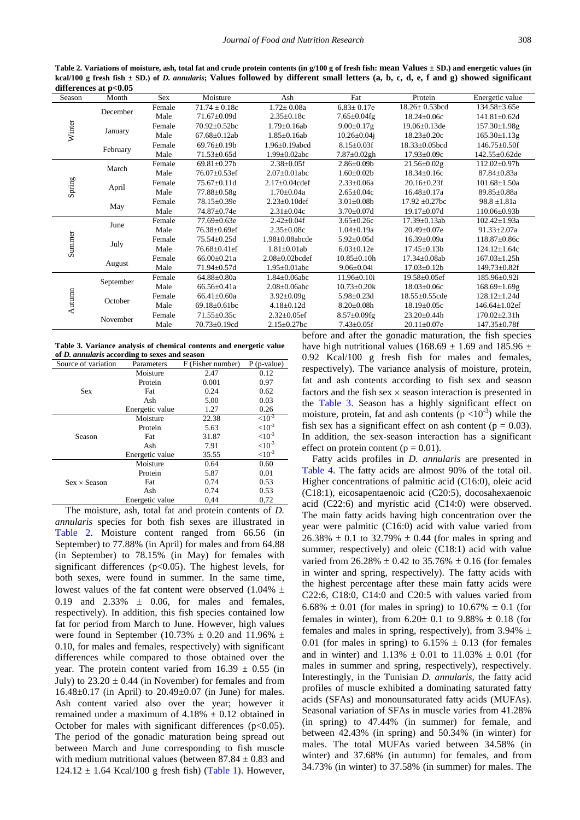Table 2. Variations of moisture, ash, total fat and crude protein contents (in g/100 g of fresh fish: mean Values ± SD.) and energetic values (in **kcal/100 g fresh fish ± SD.) of** *D. annularis***; Values followed by different small letters (a, b, c, d, e, f and g) showed significant differences at p<0.05**

<span id="page-2-0"></span>

| umerences at p $\sim$ 0.00 |                                                                                                                                                                                      |        |                     |                       |                    |                      |                      |  |
|----------------------------|--------------------------------------------------------------------------------------------------------------------------------------------------------------------------------------|--------|---------------------|-----------------------|--------------------|----------------------|----------------------|--|
| Season                     | Month                                                                                                                                                                                | Sex    | Moisture            | Ash                   | Fat                | Protein              | Energetic value      |  |
| Winter                     | December                                                                                                                                                                             | Female | $71.74 \pm 0.18c$   | $1.72 \pm 0.08a$      | $6.83 \pm 0.17e$   | $18.26 \pm 0.53$ bcd | $134.58 \pm 3.65e$   |  |
|                            |                                                                                                                                                                                      | Male   | $71.67 \pm 0.09d$   | $2.35 \pm 0.18c$      | $7.65 \pm 0.04$ fg | $18.24 \pm 0.06c$    | $141.81 \pm 0.62$ d  |  |
|                            |                                                                                                                                                                                      | Female | $70.92 + 0.52$ bc   | $1.79 \pm 0.16$ ab    | $9.00 \pm 0.17$ g  | 19.06±0.13de         | 157.30±1.98g         |  |
|                            | January                                                                                                                                                                              | Male   | $67.68 \pm 0.12$ ab | $1.85 \pm 0.16$ ab    | $10.26 \pm 0.04$ j | $18.23 \pm 0.20c$    | $165.30 \pm 1.13$ g  |  |
|                            | February                                                                                                                                                                             | Female | $69.76 + 0.19h$     | $1.96 + 0.19$ abcd    | $8.15 \pm 0.03$ f  | 18.33±0.05bcd        | $146.75 \pm 0.50$ f  |  |
|                            |                                                                                                                                                                                      | Male   | $71.53 \pm 0.65d$   | $1.99 \pm 0.02$ abc   | $7.87 \pm 0.02$ gh | $17.93 \pm 0.09c$    | 142.55±0.62de        |  |
|                            | March                                                                                                                                                                                | Female | $69.81 \pm 0.27$ b  | $2.38 \pm 0.05$ f     | $2.86 \pm 0.09$    | $21.56 \pm 0.02$ g   | 112.02±0.97b         |  |
|                            |                                                                                                                                                                                      | Male   | 76.07±0.53ef        | $2.07 \pm 0.01$ abc   | $1.60 \pm 0.02b$   | $18.34 \pm 0.16c$    | 87.84±0.83a          |  |
| Spring                     |                                                                                                                                                                                      | Female | $75.67 \pm 0.11d$   | $2.17 \pm 0.04$ cdef  | $2.33 \pm 0.06a$   | $20.16 \pm 0.23$ f   | $101.68 \pm 1.50a$   |  |
|                            | April                                                                                                                                                                                | Male   | 77.88±0.58g         | $1.70 \pm 0.04a$      | $2.65 \pm 0.04c$   | $16.48 \pm 0.17a$    | 89.85±0.88a          |  |
|                            |                                                                                                                                                                                      | Female | 78.15±0.39e         | $2.23 \pm 0.10$ def   | $3.01 \pm 0.08$ b  | $17.92 + 0.27$ bc    | $98.8 \pm 1.81a$     |  |
|                            | May                                                                                                                                                                                  | Male   | 74.87±0.74e         | $2.31 \pm 0.04c$      | $3.70 \pm 0.07$ d  | $19.17 \pm 0.07d$    | $110.06 \pm 0.93b$   |  |
|                            | June                                                                                                                                                                                 | Female | 77.69±0.63e         | $2.42 \pm 0.04$ f     | $3.65 \pm 0.26c$   | 17.39±0.13ab         | $102.42 \pm 1.93a$   |  |
|                            |                                                                                                                                                                                      | Male   | $76.38 \pm 0.69$ ef | $2.35 \pm 0.08c$      | $1.04 \pm 0.19a$   | $20.49 \pm 0.07e$    | $91.33 \pm 2.07a$    |  |
| Summer                     | July                                                                                                                                                                                 | Female | $75.54 \pm 0.25d$   | $1.98 \pm 0.08$ abcde | $5.92 \pm 0.05d$   | $16.39 \pm 0.09a$    | 118.87±0.86c         |  |
|                            |                                                                                                                                                                                      | Male   | 76.68±0.41ef        | $1.81 \pm 0.01$ ab    | $6.03 \pm 0.12e$   | $17.45 \pm 0.13b$    | $124.12 \pm 1.64c$   |  |
|                            |                                                                                                                                                                                      | Female | $66.00 \pm 0.21a$   | $2.08 \pm 0.02$ bcdef | $10.85 \pm 0.10h$  | $17.34 \pm 0.08$ ab  | $167.03 \pm 1.25h$   |  |
|                            | August                                                                                                                                                                               | Male   | $71.94 \pm 0.57$ d  | $1.95 \pm 0.01$ abc   | $9.06 \pm 0.04i$   | $17.03 \pm 0.12b$    | $149.73 \pm 0.82$ f  |  |
|                            | September                                                                                                                                                                            | Female | $64.88 \pm 0.80a$   | $1.84 \pm 0.06$ abc   | $11.96 \pm 0.10i$  | $19.58 \pm 0.05$ ef  | $185.96 \pm 0.92i$   |  |
| Autumn                     |                                                                                                                                                                                      | Male   | $66.56 \pm 0.41a$   | $2.08 \pm 0.06$ abc   | $10.73 \pm 0.20k$  | $18.03 \pm 0.06c$    | $168.69 \pm 1.69$ g  |  |
|                            | October                                                                                                                                                                              | Female | $66.41 \pm 0.60a$   | $3.92 \pm 0.09$ g     | $5.98 \pm 0.23$ d  | 18.55±0.55cde        | $128.12 \pm 1.24$ d  |  |
|                            |                                                                                                                                                                                      | Male   | 69.18 $\pm$ 0.61bc  | $4.18 \pm 0.12d$      | $8.20 \pm 0.08h$   | $18.19 \pm 0.05c$    | $146.64 \pm 1.02$ ef |  |
|                            |                                                                                                                                                                                      | Female | $71.55 \pm 0.35c$   | $2.32 \pm 0.05$ ef    | $8.57 \pm 0.09$ fg | $23.20 \pm 0.44h$    | $170.02 \pm 2.31h$   |  |
|                            | November                                                                                                                                                                             | Male   | 70.73±0.19cd        | $2.15 \pm 0.27$ bc    | $7.43 \pm 0.05$ f  | $20.11 \pm 0.07e$    | $147.35 \pm 0.78$ f  |  |
|                            | 1.0 <sub>c</sub><br>and the company of the state of the company of the state of the state of the state of the state of the state o<br>$\ldots$ 1 $\ldots$ $\alpha$ $\ldots$ $\ldots$ |        |                     |                       |                    |                      |                      |  |

**Table 3. Variance analysis of chemical contents and energetic value of** *D. annularis* **according to sexes and season**

<span id="page-2-1"></span>

| Source of variation | Parameters      | F (Fisher number) | $P$ (p-value) |
|---------------------|-----------------|-------------------|---------------|
|                     | Moisture        | 2.47              | 0.12          |
|                     | Protein         | 0.001             | 0.97          |
| <b>Sex</b>          | Fat             | 0.24              | 0.62          |
|                     | Ash             | 5.00              | 0.03          |
|                     | Energetic value | 1.27              | 0.26          |
|                     | Moisture        | 22.38             | ${<}10^{-3}$  |
|                     | Protein         | 5.63              | ${<}10^{-3}$  |
| Season              | Fat             | 31.87             | ${<}10^{-3}$  |
|                     | Ash             | 7.91              | ${<}10^{-3}$  |
|                     | Energetic value | 35.55             | ${<}10^{-3}$  |
|                     | Moisture        | 0.64              | 0.60          |
|                     | Protein         | 5.87              | 0.01          |
| $Sex \times Season$ | Fat             | 0.74              | 0.53          |
|                     | Ash             | 0.74              | 0.53          |
|                     | Energetic value | 0.44              | 0.72          |

The moisture, ash, total fat and protein contents of *D. annularis* species for both fish sexes are illustrated in [Table 2.](#page-2-0) Moisture content ranged from 66.56 (in September) to 77.88% (in April) for males and from 64.88 (in September) to 78.15% (in May) for females with significant differences (p<0.05). The highest levels, for both sexes, were found in summer. In the same time, lowest values of the fat content were observed  $(1.04\% \pm$ 0.19 and 2.33%  $\pm$  0.06, for males and females, respectively). In addition, this fish species contained low fat for period from March to June. However, high values were found in September (10.73%  $\pm$  0.20 and 11.96%  $\pm$ 0.10, for males and females, respectively) with significant differences while compared to those obtained over the year. The protein content varied from  $16.39 \pm 0.55$  (in July) to  $23.20 \pm 0.44$  (in November) for females and from 16.48±0.17 (in April) to 20.49±0.07 (in June) for males. Ash content varied also over the year; however it remained under a maximum of  $4.18\% \pm 0.12$  obtained in October for males with significant differences  $(p<0.05)$ . The period of the gonadic maturation being spread out between March and June corresponding to fish muscle with medium nutritional values (between  $87.84 \pm 0.83$  and  $124.12 \pm 1.64$  Kcal/100 g fresh fish) [\(Table 1\)](#page-1-0). However, before and after the gonadic maturation, the fish species have high nutritional values (168.69  $\pm$  1.69 and 185.96  $\pm$ 0.92 Kcal/100 g fresh fish for males and females, respectively). The variance analysis of moisture, protein, fat and ash contents according to fish sex and season factors and the fish sex  $\times$  season interaction is presented in the [Table 3.](#page-2-1) Season has a highly significant effect on moisture, protein, fat and ash contents  $(p < 10^{-3})$  while the fish sex has a significant effect on ash content ( $p = 0.03$ ). In addition, the sex-season interaction has a significant effect on protein content ( $p = 0.01$ ).

Fatty acids profiles in *D. annularis* are presented in [Table 4.](#page-3-0) The fatty acids are almost 90% of the total oil. Higher concentrations of palmitic acid (C16:0), oleic acid (C18:1), eicosapentaenoic acid (C20:5), docosahexaenoic acid (C22:6) and myristic acid (C14:0) were observed. The main fatty acids having high concentration over the year were palmitic (C16:0) acid with value varied from  $26.38\% \pm 0.1$  to  $32.79\% \pm 0.44$  (for males in spring and summer, respectively) and oleic (C18:1) acid with value varied from 26.28%  $\pm$  0.42 to 35.76%  $\pm$  0.16 (for females in winter and spring, respectively). The fatty acids with the highest percentage after these main fatty acids were C22:6, C18:0, C14:0 and C20:5 with values varied from 6.68%  $\pm$  0.01 (for males in spring) to 10.67%  $\pm$  0.1 (for females in winter), from  $6.20 \pm 0.1$  to  $9.88\% \pm 0.18$  (for females and males in spring, respectively), from 3.94%  $\pm$ 0.01 (for males in spring) to  $6.15\% \pm 0.13$  (for females and in winter) and  $1.13\% \pm 0.01$  to  $11.03\% \pm 0.01$  (for males in summer and spring, respectively), respectively. Interestingly, in the Tunisian *D. annularis*, the fatty acid profiles of muscle exhibited a dominating saturated fatty acids (SFAs) and monounsaturated fatty acids (MUFAs). Seasonal variation of SFAs in muscle varies from 41.28% (in spring) to 47.44% (in summer) for female, and between 42.43% (in spring) and 50.34% (in winter) for males. The total MUFAs varied between 34.58% (in winter) and 37.68% (in autumn) for females, and from 34.73% (in winter) to 37.58% (in summer) for males. The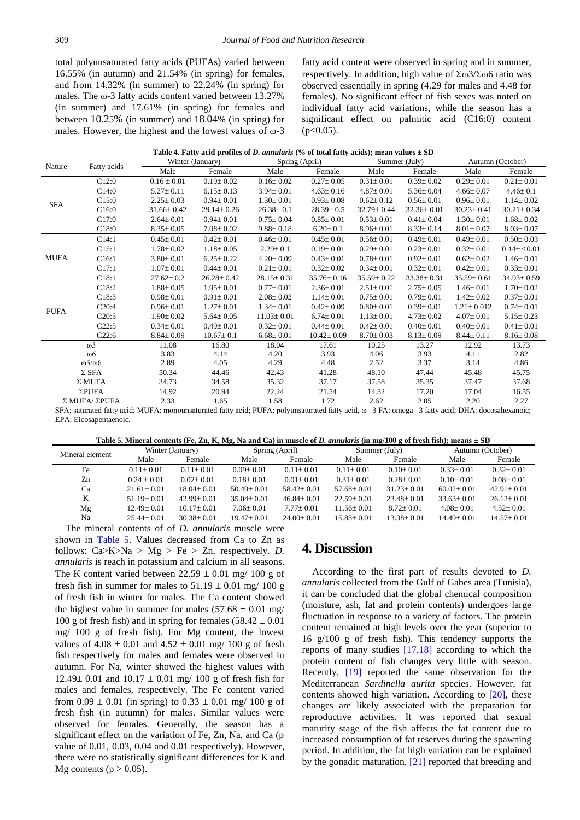total polyunsaturated fatty acids (PUFAs) varied between 16.55% (in autumn) and 21.54% (in spring) for females, and from 14.32% (in summer) to 22.24% (in spring) for males. The ω-3 fatty acids content varied between 13.27% (in summer) and 17.61% (in spring) for females and between 10.25% (in summer) and 18.04% (in spring) for males. However, the highest and the lowest values of ω-3 fatty acid content were observed in spring and in summer, respectively. In addition, high value of Σω3/Σω6 ratio was observed essentially in spring (4.29 for males and 4.48 for females). No significant effect of fish sexes was noted on individual fatty acid variations, while the season has a significant effect on palmitic acid (C16:0) content  $(p<0.05)$ .

| Table 4. Fatty acid profiles of <i>D. annularis</i> (% of total fatty acids); mean values $\pm$ SD |  |  |
|----------------------------------------------------------------------------------------------------|--|--|
|                                                                                                    |  |  |

<span id="page-3-0"></span>

|             |                        | Winter (January) |                  |                  | Spring (April)   |                  | Summer (July)    |                  | Autumn (October) |  |
|-------------|------------------------|------------------|------------------|------------------|------------------|------------------|------------------|------------------|------------------|--|
| Nature      | Fatty acids            | Male             | Female           | Male             | Female           | Male             | Female           | Male             | Female           |  |
|             | C12:0                  | $0.16 \pm 0.01$  | $0.19 \pm 0.02$  | $0.16 \pm 0.02$  | $0.27 \pm 0.05$  | $0.31 \pm 0.01$  | $0.39 \pm 0.02$  | $0.29 \pm 0.01$  | $0.21 \pm 0.01$  |  |
|             | C14:0                  | $5.27 \pm 0.11$  | $6.15 \pm 0.13$  | $3.94 \pm 0.01$  | $4.63 \pm 0.16$  | $4.87 \pm 0.01$  | $5.36 \pm 0.04$  | $4.66 \pm 0.07$  | $4.46 \pm 0.1$   |  |
| <b>SFA</b>  | C15:0                  | $2.25 \pm 0.03$  | $0.94 \pm 0.01$  | $1.30 \pm 0.01$  | $0.93 \pm 0.08$  | $0.62 \pm 0.12$  | $0.56 \pm 0.01$  | $0.96 \pm 0.01$  | $1.14 \pm 0.02$  |  |
|             | C16:0                  | $31.66 \pm 0.42$ | $29.14 \pm 0.26$ | $26.38 \pm 0.1$  | $28.39 \pm 0.5$  | 32.79±0.44       | $32.36 \pm 0.01$ | $30.23 \pm 0.41$ | $30.21 \pm 0.34$ |  |
|             | C17:0                  | $2.64 \pm 0.01$  | $0.94 \pm 0.01$  | $0.75 \pm 0.04$  | $0.85 \pm 0.01$  | $0.53 \pm 0.01$  | $0.41 \pm 0.04$  | $1.30 \pm 0.01$  | $1.68 \pm 0.02$  |  |
|             | C18:0                  | $8.35 \pm 0.05$  | $7.08 \pm 0.02$  | $9.88 \pm 0.18$  | $6.20 \pm 0.1$   | $8.96 \pm 0.01$  | $8.33 \pm 0.14$  | $8.01 \pm 0.07$  | $8.03 \pm 0.07$  |  |
|             | C14:1                  | $0.45 \pm 0.01$  | $0.42 \pm 0.01$  | $0.46 \pm 0.01$  | $0.45 \pm 0.01$  | $0.56 \pm 0.01$  | $0.49 \pm 0.01$  | $0.49 \pm 0.01$  | $0.50 \pm 0.03$  |  |
|             | C15:1                  | $1.78 \pm 0.02$  | $1.18 \pm 0.05$  | $2.29 \pm 0.1$   | $0.19 \pm 0.01$  | $0.29 \pm 0.01$  | $0.23 \pm 0.01$  | $0.32 \pm 0.01$  | $0.44 \pm 0.01$  |  |
| <b>MUFA</b> | C16:1                  | $3.80 \pm 0.01$  | $6.25 \pm 0.22$  | $4.20 \pm 0.09$  | $0.43 \pm 0.01$  | $0.78 \pm 0.01$  | $0.92 \pm 0.01$  | $0.62 \pm 0.02$  | $1.46 \pm 0.01$  |  |
|             | C17:1                  | $1.07 \pm 0.01$  | $0.44 \pm 0.01$  | $0.21 \pm 0.01$  | $0.32 \pm 0.02$  | $0.34 \pm 0.01$  | $0.32 \pm 0.01$  | $0.42 \pm 0.01$  | $0.33 \pm 0.01$  |  |
|             | C18:1                  | $27.62 \pm 0.2$  | $26.28 \pm 0.42$ | $28.15 \pm 0.31$ | $35.76 \pm 0.16$ | $35.59 \pm 0.22$ | $33.38 \pm 0.31$ | $35.59 \pm 0.61$ | $34.93 \pm 0.59$ |  |
| <b>PUFA</b> | C18:2                  | $1.88 \pm 0.05$  | $1.95 \pm 0.01$  | $0.77 \pm 0.01$  | $2.36 \pm 0.01$  | $2.51 \pm 0.01$  | $2.75 \pm 0.05$  | $1.46 \pm 0.01$  | $1.70 \pm 0.02$  |  |
|             | C18:3                  | $0.98 \pm 0.01$  | $0.91 \pm 0.01$  | $2.08 \pm 0.02$  | $1.14 \pm 0.01$  | $0.75 \pm 0.01$  | $0.79 \pm 0.01$  | $1.42 \pm 0.02$  | $0.37 \pm 0.01$  |  |
|             | C20:4                  | $0.96 \pm 0.01$  | $1.27 \pm 0.01$  | $1.34 \pm 0.01$  | $0.42 \pm 0.09$  | $0.80 \pm 0.01$  | $0.39 \pm 0.01$  | $1.21 \pm 0.012$ | $0.74 \pm 0.01$  |  |
|             | C20:5                  | $1.90 \pm 0.02$  | $5.64 \pm 0.05$  | $11.03 \pm 0.01$ | $6.74 \pm 0.01$  | $1.13 \pm 0.01$  | $4.73 \pm 0.02$  | $4.07 \pm 0.01$  | $5.15 \pm 0.23$  |  |
|             | C22:5                  | $0.34 \pm 0.01$  | $0.49 \pm 0.01$  | $0.32 \pm 0.01$  | $0.44 \pm 0.01$  | $0.42 \pm 0.01$  | $0.40 \pm 0.01$  | $0.40 \pm 0.01$  | $0.41 \pm 0.01$  |  |
|             | C22:6                  | $8.84 \pm 0.09$  | $10.67 \pm 0.1$  | $6.68 \pm 0.01$  | $10.42 \pm 0.09$ | $8.70 \pm 0.03$  | $8.13 \pm 0.09$  | $8.44 \pm 0.11$  | $8.16 \pm 0.08$  |  |
|             | $\omega$ 3             | 11.08            | 16.80            | 18.04            | 17.61            | 10.25            | 13.27            | 12.92            | 13.73            |  |
|             | $\omega$ 6             | 3.83             | 4.14             | 4.20             | 3.93             | 4.06             | 3.93             | 4.11             | 2.82             |  |
|             | $\omega$ 3/ $\omega$ 6 | 2.89             | 4.05             | 4.29             | 4.48             | 2.52             | 3.37             | 3.14             | 4.86             |  |
|             | $\Sigma$ SFA           | 50.34            | 44.46            | 42.43            | 41.28            | 48.10            | 47.44            | 45.48            | 45.75            |  |
|             | $\Sigma$ MUFA          | 34.73            | 34.58            | 35.32            | 37.17            | 37.58            | 35.35            | 37.47            | 37.68            |  |
|             | ΣPUFA                  | 14.92            | 20.94            | 22.24            | 21.54            | 14.32            | 17.20            | 17.04            | 16.55            |  |
|             | Σ MUFA/ ΣPUFA          | 2.33             | 1.65             | 1.58             | 1.72             | 2.62             | 2.05             | 2.20             | 2.27             |  |

SFA: saturated fatty acid; MUFA: monounsaturated fatty acid; PUFA: polyunsaturated fatty acid, ω– 3 FA: omega– 3 fatty acid; DHA: docosahexanoic; EPA: Eicosapentaenoic.

| Table 5. Mineral contents (Fe, Zn, K, Mg, Na and Ca) in muscle of <i>D. annularis</i> (in mg/100 g of fresh fish); means $\pm$ SD |  |  |
|-----------------------------------------------------------------------------------------------------------------------------------|--|--|
|                                                                                                                                   |  |  |

<span id="page-3-1"></span>

| Mineral element | Winter (January) |                  | Spring (April)   |                  | Summer (July)    |                  | Autumn (October) |                  |
|-----------------|------------------|------------------|------------------|------------------|------------------|------------------|------------------|------------------|
|                 | Male             | Female           | Male             | Female           | Male             | Female           | Male             | Female           |
| Fe              | $0.11 + 0.01$    | $0.11 + 0.01$    | $0.09 + 0.01$    | $0.11 + 0.01$    | $0.11 + 0.01$    | $0.10+0.01$      | $0.33 + 0.01$    | $0.32 + 0.01$    |
| Zn              | $0.24 + 0.01$    | $0.02 + 0.01$    | $0.18 + 0.01$    | $0.01 + 0.01$    | $0.31 + 0.01$    | $0.28 + 0.01$    | $0.10+0.01$      | $0.08 + 0.01$    |
| Ca              | $21.61 + 0.01$   | $18.04 + 0.01$   | $50.49 + 0.01$   | $58.42 \pm 0.01$ | $57.68 + 0.01$   | $31.23 + 0.01$   | $60.02 + 0.01$   | $42.91 + 0.01$   |
| K               | $51.19 + 0.01$   | $42.99 + 0.01$   | $35.04 + 0.01$   | $46.84 \pm 0.01$ | $22.59 + 0.01$   | $23.48 + 0.01$   | $33.63 + 0.01$   | $26.12 \pm 0.01$ |
| Mg              | $12.49 + 0.01$   | $10.17 + 0.01$   | $7.06 + 0.01$    | $7.77+0.01$      | $11.56 + 0.01$   | $8.72 \pm 0.01$  | $4.08 + 0.01$    | $4.52 + 0.01$    |
| Na              | $25.44 \pm 0.01$ | $30.38 \pm 0.01$ | $19.47 \pm 0.01$ | $24.00 \pm 0.01$ | $15.83 \pm 0.01$ | $13.38 \pm 0.01$ | $14.49 \pm 0.01$ | $14.57 \pm 0.01$ |

The mineral contents of of *D. annularis* muscle were shown in [Table 5.](#page-3-1) Values decreased from Ca to Zn as follows: Ca>K>Na > Mg > Fe > Zn, respectively. *D. annularis* is reach in potassium and calcium in all seasons. The K content varied between  $22.59 \pm 0.01$  mg/ 100 g of fresh fish in summer for males to  $51.19 \pm 0.01$  mg/ 100 g of fresh fish in winter for males. The Ca content showed the highest value in summer for males  $(57.68 \pm 0.01 \text{ mg}/$ 100 g of fresh fish) and in spring for females  $(58.42 \pm 0.01)$ mg/ 100 g of fresh fish). For Mg content, the lowest values of  $4.08 \pm 0.01$  and  $4.52 \pm 0.01$  mg/ 100 g of fresh fish respectively for males and females were observed in autumn. For Na, winter showed the highest values with 12.49 $\pm$  0.01 and 10.17  $\pm$  0.01 mg/ 100 g of fresh fish for males and females, respectively. The Fe content varied from  $0.09 \pm 0.01$  (in spring) to  $0.33 \pm 0.01$  mg/ 100 g of fresh fish (in autumn) for males. Similar values were observed for females. Generally, the season has a significant effect on the variation of Fe, Zn, Na, and Ca (p value of 0.01, 0.03, 0.04 and 0.01 respectively). However, there were no statistically significant differences for K and Mg contents ( $p > 0.05$ ).

## **4. Discussion**

According to the first part of results devoted to *D. annularis* collected from the Gulf of Gabes area (Tunisia), it can be concluded that the global chemical composition (moisture, ash, fat and protein contents) undergoes large fluctuation in response to a variety of factors. The protein content remained at high levels over the year (superior to 16 g/100 g of fresh fish). This tendency supports the reports of many studies [\[17,18\]](#page-5-9) according to which the protein content of fish changes very little with season. Recently, [\[19\]](#page-5-10) reported the same observation for the Mediterranean *Sardinella aurita* species. However, fat contents showed high variation. According to [\[20\],](#page-5-11) these changes are likely associated with the preparation for reproductive activities. It was reported that sexual maturity stage of the fish affects the fat content due to increased consumption of fat reserves during the spawning period. In addition, the fat high variation can be explained by the gonadic maturation. [\[21\]](#page-5-12) reported that breeding and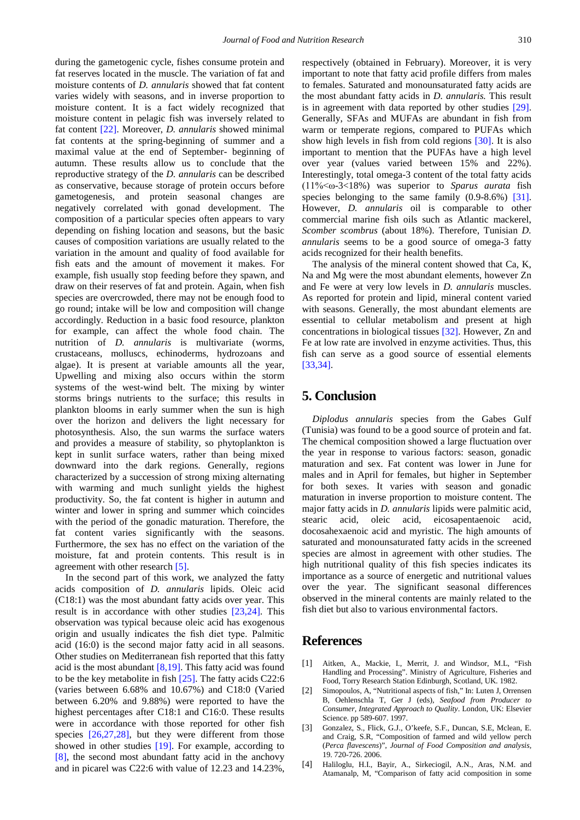during the gametogenic cycle, fishes consume protein and fat reserves located in the muscle. The variation of fat and moisture contents of *D. annularis* showed that fat content varies widely with seasons, and in inverse proportion to moisture content. It is a fact widely recognized that moisture content in pelagic fish was inversely related to fat content [\[22\].](#page-5-13) Moreover, *D. annularis* showed minimal fat contents at the spring-beginning of summer and a maximal value at the end of September- beginning of autumn. These results allow us to conclude that the reproductive strategy of the *D. annularis* can be described as conservative, because storage of protein occurs before gametogenesis, and protein seasonal changes are negatively correlated with gonad development. The composition of a particular species often appears to vary depending on fishing location and seasons, but the basic causes of composition variations are usually related to the variation in the amount and quality of food available for fish eats and the amount of movement it makes. For example, fish usually stop feeding before they spawn, and draw on their reserves of fat and protein. Again, when fish species are overcrowded, there may not be enough food to go round; intake will be low and composition will change accordingly. Reduction in a basic food resource, plankton for example, can affect the whole food chain. The nutrition of *D. annularis* is multivariate (worms, crustaceans, molluscs, echinoderms, hydrozoans and algae). It is present at variable amounts all the year, Upwelling and mixing also occurs within the storm systems of the west-wind belt. The mixing by winter storms brings nutrients to the surface; this results in plankton blooms in early summer when the sun is high over the horizon and delivers the light necessary for photosynthesis. Also, the sun warms the surface waters and provides a measure of stability, so phytoplankton is kept in sunlit surface waters, rather than being mixed downward into the dark regions. Generally, regions characterized by a succession of strong mixing alternating with warming and much sunlight yields the highest productivity. So, the fat content is higher in autumn and winter and lower in spring and summer which coincides with the period of the gonadic maturation. Therefore, the fat content varies significantly with the seasons. Furthermore, the sex has no effect on the variation of the moisture, fat and protein contents. This result is in agreement with other research [\[5\].](#page-5-0)

In the second part of this work, we analyzed the fatty acids composition of *D. annularis* lipids. Oleic acid (C18:1) was the most abundant fatty acids over year. This result is in accordance with other studies [\[23,24\].](#page-5-14) This observation was typical because oleic acid has exogenous origin and usually indicates the fish diet type. Palmitic acid (16:0) is the second major fatty acid in all seasons. Other studies on Mediterranean fish reported that this fatty acid is the most abundant  $[8,19]$ . This fatty acid was found to be the key metabolite in fish [\[25\].](#page-5-16) The fatty acids C22:6 (varies between 6.68% and 10.67%) and C18:0 (Varied between 6.20% and 9.88%) were reported to have the highest percentages after C18:1 and C16:0. These results were in accordance with those reported for other fish species [\[26,27,28\],](#page-5-17) but they were different from those showed in other studies [\[19\].](#page-5-10) For example, according to [\[8\],](#page-5-15) the second most abundant fatty acid in the anchovy and in picarel was C22:6 with value of 12.23 and 14.23%,

respectively (obtained in February). Moreover, it is very important to note that fatty acid profile differs from males to females. Saturated and monounsaturated fatty acids are the most abundant fatty acids in *D. annularis.* This result is in agreement with data reported by other studies [\[29\].](#page-5-18) Generally, SFAs and MUFAs are abundant in fish from warm or temperate regions, compared to PUFAs which show high levels in fish from cold regions [\[30\].](#page-5-19) It is also important to mention that the PUFAs have a high level over year (values varied between 15% and 22%). Interestingly, total omega-3 content of the total fatty acids (11%<ω-3<18%) was superior to *Sparus aurata* fish species belonging to the same family (0.9-8.6%) [\[31\].](#page-5-20) However, *D. annularis* oil is comparable to other commercial marine fish oils such as Atlantic mackerel, *Scomber scombrus* (about 18%). Therefore, Tunisian *D. annularis* seems to be a good source of omega-3 fatty acids recognized for their health benefits.

The analysis of the mineral content showed that Ca, K, Na and Mg were the most abundant elements, however Zn and Fe were at very low levels in *D. annularis* muscles. As reported for protein and lipid, mineral content varied with seasons. Generally, the most abundant elements are essential to cellular metabolism and present at high concentrations in biological tissues [\[32\].](#page-5-21) However, Zn and Fe at low rate are involved in enzyme activities. Thus, this fish can serve as a good source of essential elements [\[33,34\].](#page-5-22)

## **5. Conclusion**

*Diplodus annularis* species from the Gabes Gulf (Tunisia) was found to be a good source of protein and fat. The chemical composition showed a large fluctuation over the year in response to various factors: season, gonadic maturation and sex. Fat content was lower in June for males and in April for females, but higher in September for both sexes. It varies with season and gonadic maturation in inverse proportion to moisture content. The major fatty acids in *D. annularis* lipids were palmitic acid, stearic acid, oleic acid, eicosapentaenoic acid, docosahexaenoic acid and myristic. The high amounts of saturated and monounsaturated fatty acids in the screened species are almost in agreement with other studies. The high nutritional quality of this fish species indicates its importance as a source of energetic and nutritional values over the year. The significant seasonal differences observed in the mineral contents are mainly related to the fish diet but also to various environmental factors.

# **References**

- <span id="page-4-0"></span>[1] Aitken, A., Mackie, I., Merrit, J. and Windsor, M.L, "Fish Handling and Processing". Ministry of Agriculture, Fisheries and Food, Torry Research Station Edinburgh, Scotland, UK. 1982.
- [2] Simopoulos, A, "Nutritional aspects of fish," In: Luten J, Orrensen B, Oehlenschla T, Ger J (eds), *Seafood from Producer to Consumer, Integrated Approach to Quality*. London, UK: Elsevier Science. pp 589-607. 1997.
- <span id="page-4-1"></span>[3] Gonzalez, S., Flick, G.J., O'keefe, S.F., Duncan, S.E, Mclean, E. and Craig, S.R, "Composition of farmed and wild yellow perch (*Perca flavescens*)", *Journal of Food Composition and analysis,* 19. 720-726. 2006.
- [4] Haliloglu, H.I., Bayir, A., Sirkeciogil, A.N., Aras, N.M. and Atamanalp, M, "Comparison of fatty acid composition in some